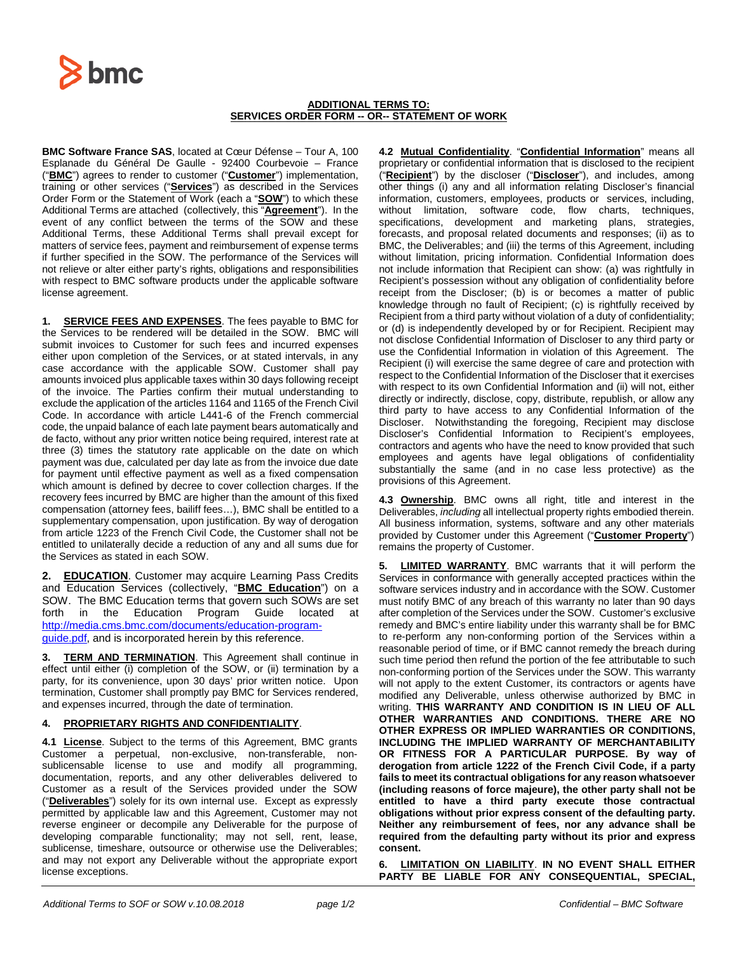

## **ADDITIONAL TERMS TO: SERVICES ORDER FORM -- OR-- STATEMENT OF WORK**

**BMC Software France SAS**, located at Cœur Défense – Tour A, 100 Esplanade du Général De Gaulle - 92400 Courbevoie – France ("**BMC**") agrees to render to customer ("**Customer**") implementation, training or other services ("**Services**") as described in the Services Order Form or the Statement of Work (each a "**SOW**") to which these Additional Terms are attached (collectively, this "**Agreement**"). In the event of any conflict between the terms of the SOW and these Additional Terms, these Additional Terms shall prevail except for matters of service fees, payment and reimbursement of expense terms if further specified in the SOW. The performance of the Services will not relieve or alter either party's rights, obligations and responsibilities with respect to BMC software products under the applicable software license agreement.

**1. SERVICE FEES AND EXPENSES**. The fees payable to BMC for the Services to be rendered will be detailed in the SOW. BMC will submit invoices to Customer for such fees and incurred expenses either upon completion of the Services, or at stated intervals, in any case accordance with the applicable SOW. Customer shall pay amounts invoiced plus applicable taxes within 30 days following receipt of the invoice. The Parties confirm their mutual understanding to exclude the application of the articles 1164 and 1165 of the French Civil Code. In accordance with article L441-6 of the French commercial code, the unpaid balance of each late payment bears automatically and de facto, without any prior written notice being required, interest rate at three (3) times the statutory rate applicable on the date on which payment was due, calculated per day late as from the invoice due date for payment until effective payment as well as a fixed compensation which amount is defined by decree to cover collection charges. If the recovery fees incurred by BMC are higher than the amount of this fixed compensation (attorney fees, bailiff fees…), BMC shall be entitled to a supplementary compensation, upon justification. By way of derogation from article 1223 of the French Civil Code, the Customer shall not be entitled to unilaterally decide a reduction of any and all sums due for the Services as stated in each SOW.

**2. EDUCATION**. Customer may acquire Learning Pass Credits and Education Services (collectively, "**BMC Education**") on a SOW. The BMC Education terms that govern such SOWs are set forth in the Education Program Guide located at [http://media.cms.bmc.com/documents/education-program](http://media.cms.bmc.com/documents/education-program-guide.pdf)[guide.pdf,](http://media.cms.bmc.com/documents/education-program-guide.pdf) and is incorporated herein by this reference.

**3. TERM AND TERMINATION**. This Agreement shall continue in effect until either (i) completion of the SOW, or (ii) termination by a party, for its convenience, upon 30 days' prior written notice. Upon termination, Customer shall promptly pay BMC for Services rendered, and expenses incurred, through the date of termination.

## **4. PROPRIETARY RIGHTS AND CONFIDENTIALITY**.

**4.1 License**. Subject to the terms of this Agreement, BMC grants Customer a perpetual, non-exclusive, non-transferable, nonsublicensable license to use and modify all programming, documentation, reports, and any other deliverables delivered to Customer as a result of the Services provided under the SOW ("**Deliverables**") solely for its own internal use. Except as expressly permitted by applicable law and this Agreement, Customer may not reverse engineer or decompile any Deliverable for the purpose of developing comparable functionality; may not sell, rent, lease, sublicense, timeshare, outsource or otherwise use the Deliverables; and may not export any Deliverable without the appropriate export license exceptions.

**4.2 Mutual Confidentiality**. "**Confidential Information**" means all proprietary or confidential information that is disclosed to the recipient ("**Recipient**") by the discloser ("**Discloser**"), and includes, among other things (i) any and all information relating Discloser's financial information, customers, employees, products or services, including, without limitation, software code, flow charts, techniques, specifications, development and marketing plans, strategies, forecasts, and proposal related documents and responses; (ii) as to BMC, the Deliverables; and (iii) the terms of this Agreement, including without limitation, pricing information. Confidential Information does not include information that Recipient can show: (a) was rightfully in Recipient's possession without any obligation of confidentiality before receipt from the Discloser; (b) is or becomes a matter of public knowledge through no fault of Recipient; (c) is rightfully received by Recipient from a third party without violation of a duty of confidentiality; or (d) is independently developed by or for Recipient. Recipient may not disclose Confidential Information of Discloser to any third party or use the Confidential Information in violation of this Agreement. The Recipient (i) will exercise the same degree of care and protection with respect to the Confidential Information of the Discloser that it exercises with respect to its own Confidential Information and (ii) will not, either directly or indirectly, disclose, copy, distribute, republish, or allow any third party to have access to any Confidential Information of the Discloser. Notwithstanding the foregoing, Recipient may disclose Discloser's Confidential Information to Recipient's employees, contractors and agents who have the need to know provided that such employees and agents have legal obligations of confidentiality substantially the same (and in no case less protective) as the provisions of this Agreement.

**4.3 Ownership**. BMC owns all right, title and interest in the Deliverables, *including* all intellectual property rights embodied therein. All business information, systems, software and any other materials provided by Customer under this Agreement ("**Customer Property**") remains the property of Customer.

**5. LIMITED WARRANTY**. BMC warrants that it will perform the Services in conformance with generally accepted practices within the software services industry and in accordance with the SOW. Customer must notify BMC of any breach of this warranty no later than 90 days after completion of the Services under the SOW. Customer's exclusive remedy and BMC's entire liability under this warranty shall be for BMC to re-perform any non-conforming portion of the Services within a reasonable period of time, or if BMC cannot remedy the breach during such time period then refund the portion of the fee attributable to such non-conforming portion of the Services under the SOW. This warranty will not apply to the extent Customer, its contractors or agents have modified any Deliverable, unless otherwise authorized by BMC in writing. **THIS WARRANTY AND CONDITION IS IN LIEU OF ALL OTHER WARRANTIES AND CONDITIONS. THERE ARE NO OTHER EXPRESS OR IMPLIED WARRANTIES OR CONDITIONS, INCLUDING THE IMPLIED WARRANTY OF MERCHANTABILITY OR FITNESS FOR A PARTICULAR PURPOSE. By way of derogation from article 1222 of the French Civil Code, if a party fails to meet its contractual obligations for any reason whatsoever (including reasons of force majeure), the other party shall not be entitled to have a third party execute those contractual obligations without prior express consent of the defaulting party. Neither any reimbursement of fees, nor any advance shall be required from the defaulting party without its prior and express consent.** 

**6. LIMITATION ON LIABILITY**. **IN NO EVENT SHALL EITHER PARTY BE LIABLE FOR ANY CONSEQUENTIAL, SPECIAL,**